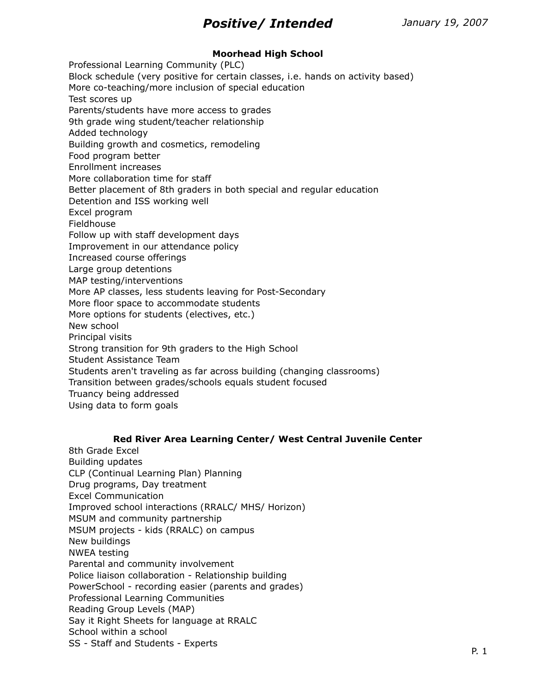# **Moorhead High School**

Professional Learning Community (PLC) Block schedule (very positive for certain classes, i.e. hands on activity based) More co-teaching/more inclusion of special education Test scores up Parents/students have more access to grades 9th grade wing student/teacher relationship Added technology Building growth and cosmetics, remodeling Food program better Enrollment increases More collaboration time for staff Better placement of 8th graders in both special and regular education Detention and ISS working well Excel program Fieldhouse Follow up with staff development days Improvement in our attendance policy Increased course offerings Large group detentions MAP testing/interventions More AP classes, less students leaving for Post-Secondary More floor space to accommodate students More options for students (electives, etc.) New school Principal visits Strong transition for 9th graders to the High School Student Assistance Team Students aren't traveling as far across building (changing classrooms) Transition between grades/schools equals student focused Truancy being addressed Using data to form goals

## **Red River Area Learning Center/ West Central Juvenile Center**

8th Grade Excel Building updates CLP (Continual Learning Plan) Planning Drug programs, Day treatment Excel Communication Improved school interactions (RRALC/ MHS/ Horizon) MSUM and community partnership MSUM projects - kids (RRALC) on campus New buildings NWEA testing Parental and community involvement Police liaison collaboration - Relationship building PowerSchool - recording easier (parents and grades) Professional Learning Communities Reading Group Levels (MAP) Say it Right Sheets for language at RRALC School within a school SS - Staff and Students - Experts P. 1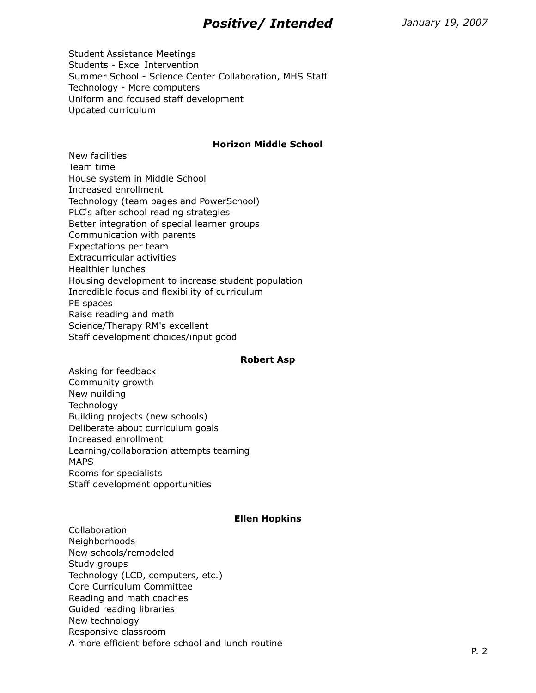Student Assistance Meetings Students - Excel Intervention Summer School - Science Center Collaboration, MHS Staff Technology - More computers Uniform and focused staff development Updated curriculum

### **Horizon Middle School**

New facilities Team time House system in Middle School Increased enrollment Technology (team pages and PowerSchool) PLC's after school reading strategies Better integration of special learner groups Communication with parents Expectations per team Extracurricular activities Healthier lunches Housing development to increase student population Incredible focus and flexibility of curriculum PE spaces Raise reading and math Science/Therapy RM's excellent Staff development choices/input good

#### **Robert Asp**

Asking for feedback Community growth New nuilding **Technology** Building projects (new schools) Deliberate about curriculum goals Increased enrollment Learning/collaboration attempts teaming MAPS Rooms for specialists Staff development opportunities

## **Ellen Hopkins**

Collaboration **Neighborhoods** New schools/remodeled Study groups Technology (LCD, computers, etc.) Core Curriculum Committee Reading and math coaches Guided reading libraries New technology Responsive classroom A more efficient before school and lunch routine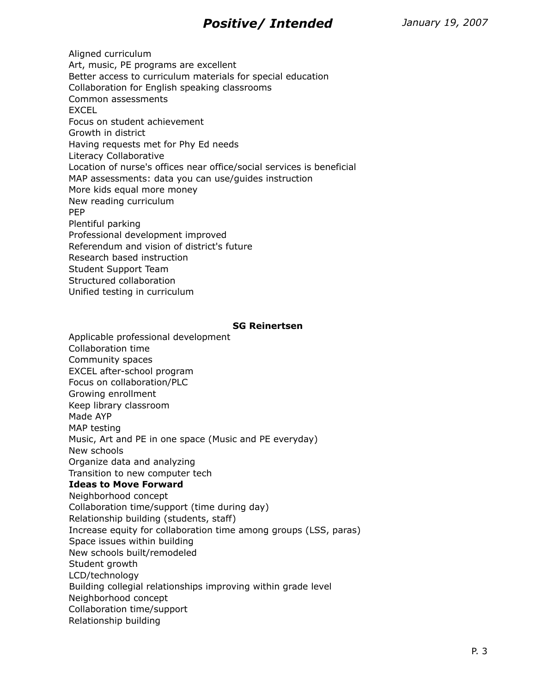Aligned curriculum Art, music, PE programs are excellent Better access to curriculum materials for special education Collaboration for English speaking classrooms Common assessments EXCEL Focus on student achievement Growth in district Having requests met for Phy Ed needs Literacy Collaborative Location of nurse's offices near office/social services is beneficial MAP assessments: data you can use/guides instruction More kids equal more money New reading curriculum PEP Plentiful parking Professional development improved Referendum and vision of district's future Research based instruction Student Support Team Structured collaboration Unified testing in curriculum

#### **SG Reinertsen**

Applicable professional development Collaboration time Community spaces EXCEL after-school program Focus on collaboration/PLC Growing enrollment Keep library classroom Made AYP MAP testing Music, Art and PE in one space (Music and PE everyday) New schools Organize data and analyzing Transition to new computer tech **Ideas to Move Forward** Neighborhood concept Collaboration time/support (time during day) Relationship building (students, staff) Increase equity for collaboration time among groups (LSS, paras) Space issues within building New schools built/remodeled Student growth LCD/technology Building collegial relationships improving within grade level Neighborhood concept Collaboration time/support Relationship building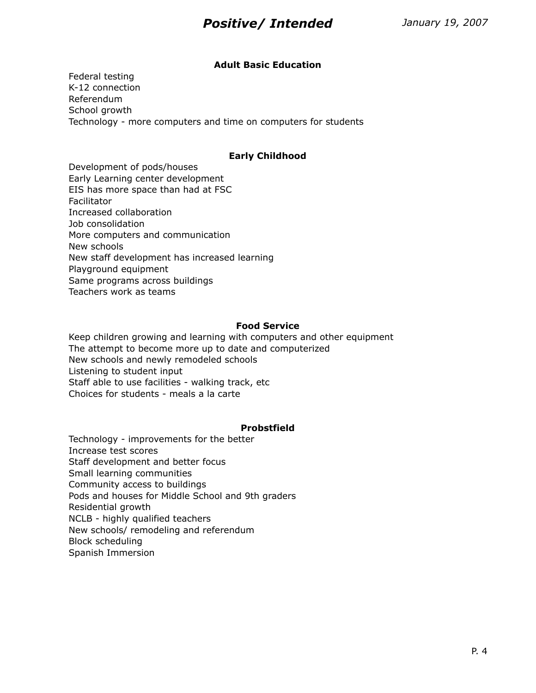### **Adult Basic Education**

Federal testing K-12 connection Referendum School growth Technology - more computers and time on computers for students

#### **Early Childhood**

Development of pods/houses Early Learning center development EIS has more space than had at FSC Facilitator Increased collaboration Job consolidation More computers and communication New schools New staff development has increased learning Playground equipment Same programs across buildings Teachers work as teams

#### **Food Service**

Keep children growing and learning with computers and other equipment The attempt to become more up to date and computerized New schools and newly remodeled schools Listening to student input Staff able to use facilities - walking track, etc Choices for students - meals a la carte

#### **Probstfield**

Technology - improvements for the better Increase test scores Staff development and better focus Small learning communities Community access to buildings Pods and houses for Middle School and 9th graders Residential growth NCLB - highly qualified teachers New schools/ remodeling and referendum Block scheduling Spanish Immersion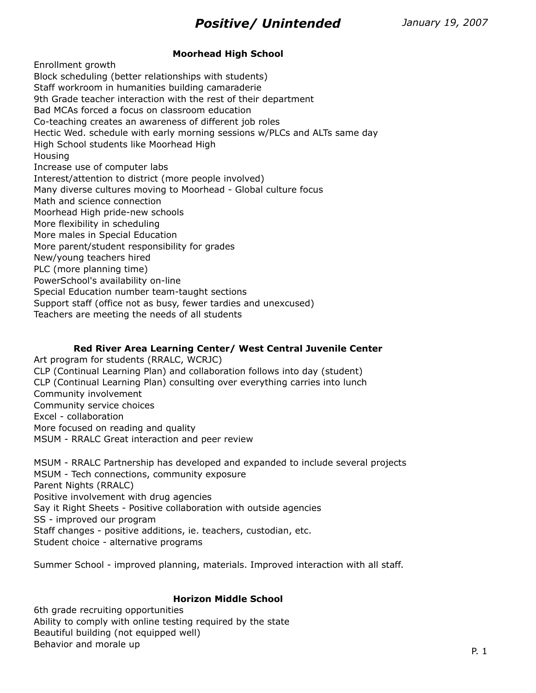# **Moorhead High School**

Enrollment growth Block scheduling (better relationships with students) Staff workroom in humanities building camaraderie 9th Grade teacher interaction with the rest of their department Bad MCAs forced a focus on classroom education Co-teaching creates an awareness of different job roles Hectic Wed. schedule with early morning sessions w/PLCs and ALTs same day High School students like Moorhead High Housing Increase use of computer labs Interest/attention to district (more people involved) Many diverse cultures moving to Moorhead - Global culture focus Math and science connection Moorhead High pride-new schools More flexibility in scheduling More males in Special Education More parent/student responsibility for grades New/young teachers hired PLC (more planning time) PowerSchool's availability on-line Special Education number team-taught sections Support staff (office not as busy, fewer tardies and unexcused) Teachers are meeting the needs of all students

## **Red River Area Learning Center/ West Central Juvenile Center**

Art program for students (RRALC, WCRJC) CLP (Continual Learning Plan) and collaboration follows into day (student) CLP (Continual Learning Plan) consulting over everything carries into lunch Community involvement Community service choices Excel - collaboration More focused on reading and quality MSUM - RRALC Great interaction and peer review

MSUM - RRALC Partnership has developed and expanded to include several projects MSUM - Tech connections, community exposure Parent Nights (RRALC) Positive involvement with drug agencies Say it Right Sheets - Positive collaboration with outside agencies SS - improved our program Staff changes - positive additions, ie. teachers, custodian, etc. Student choice - alternative programs

Summer School - improved planning, materials. Improved interaction with all staff.

## **Horizon Middle School**

6th grade recruiting opportunities Ability to comply with online testing required by the state Beautiful building (not equipped well) Behavior and morale up expected to the extension of the extension of the extension of the extension of the extension of the extension of the extension of the extension of the extension of the extension of the extension of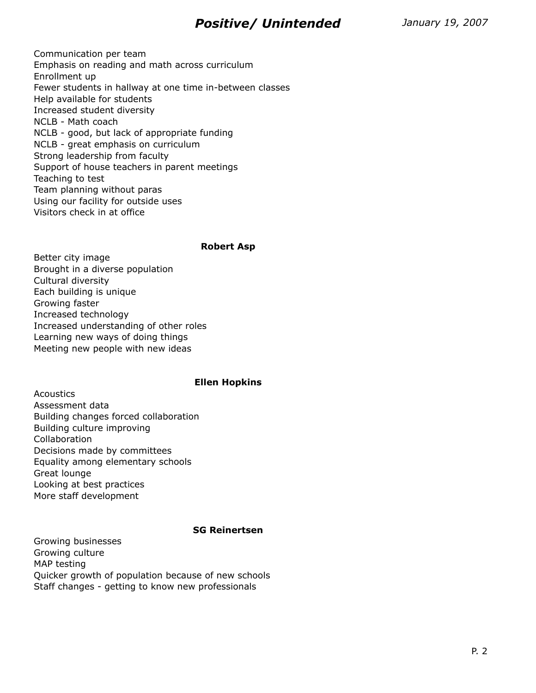Communication per team Emphasis on reading and math across curriculum Enrollment up Fewer students in hallway at one time in-between classes Help available for students Increased student diversity NCLB - Math coach NCLB - good, but lack of appropriate funding NCLB - great emphasis on curriculum Strong leadership from faculty Support of house teachers in parent meetings Teaching to test Team planning without paras Using our facility for outside uses Visitors check in at office

#### **Robert Asp**

Better city image Brought in a diverse population Cultural diversity Each building is unique Growing faster Increased technology Increased understanding of other roles Learning new ways of doing things Meeting new people with new ideas

#### **Ellen Hopkins**

Acoustics Assessment data Building changes forced collaboration Building culture improving Collaboration Decisions made by committees Equality among elementary schools Great lounge Looking at best practices More staff development

#### **SG Reinertsen**

Growing businesses Growing culture MAP testing Quicker growth of population because of new schools Staff changes - getting to know new professionals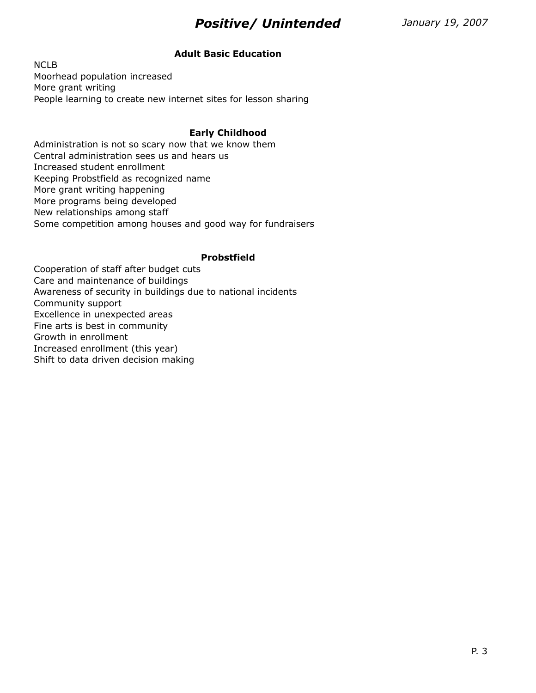## **Adult Basic Education**

NCLB Moorhead population increased More grant writing People learning to create new internet sites for lesson sharing

### **Early Childhood**

Administration is not so scary now that we know them Central administration sees us and hears us Increased student enrollment Keeping Probstfield as recognized name More grant writing happening More programs being developed New relationships among staff Some competition among houses and good way for fundraisers

### **Probstfield**

Cooperation of staff after budget cuts Care and maintenance of buildings Awareness of security in buildings due to national incidents Community support Excellence in unexpected areas Fine arts is best in community Growth in enrollment Increased enrollment (this year) Shift to data driven decision making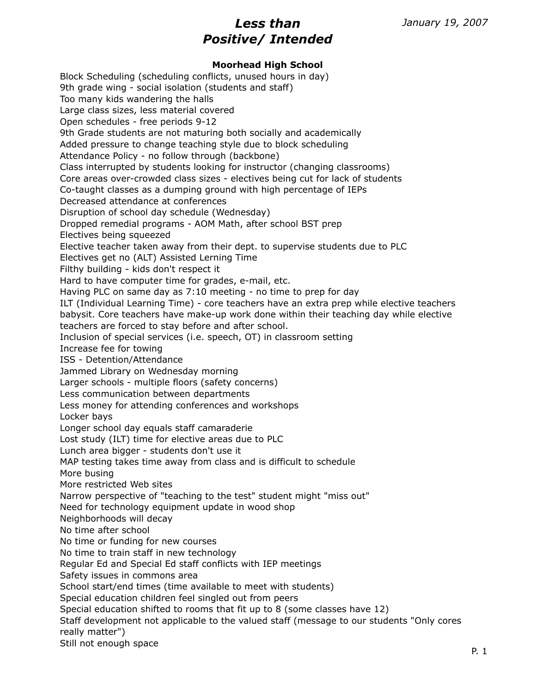## **Moorhead High School**

Block Scheduling (scheduling conflicts, unused hours in day) 9th grade wing - social isolation (students and staff) Too many kids wandering the halls Large class sizes, less material covered Open schedules - free periods 9-12 9th Grade students are not maturing both socially and academically Added pressure to change teaching style due to block scheduling Attendance Policy - no follow through (backbone) Class interrupted by students looking for instructor (changing classrooms) Core areas over-crowded class sizes - electives being cut for lack of students Co-taught classes as a dumping ground with high percentage of IEPs Decreased attendance at conferences Disruption of school day schedule (Wednesday) Dropped remedial programs - AOM Math, after school BST prep Electives being squeezed Elective teacher taken away from their dept. to supervise students due to PLC Electives get no (ALT) Assisted Lerning Time Filthy building - kids don't respect it Hard to have computer time for grades, e-mail, etc. Having PLC on same day as 7:10 meeting - no time to prep for day ILT (Individual Learning Time) - core teachers have an extra prep while elective teachers babysit. Core teachers have make-up work done within their teaching day while elective teachers are forced to stay before and after school. Inclusion of special services (i.e. speech, OT) in classroom setting Increase fee for towing ISS - Detention/Attendance Jammed Library on Wednesday morning Larger schools - multiple floors (safety concerns) Less communication between departments Less money for attending conferences and workshops Locker bays Longer school day equals staff camaraderie Lost study (ILT) time for elective areas due to PLC Lunch area bigger - students don't use it MAP testing takes time away from class and is difficult to schedule More busing More restricted Web sites Narrow perspective of "teaching to the test" student might "miss out" Need for technology equipment update in wood shop Neighborhoods will decay No time after school No time or funding for new courses No time to train staff in new technology Regular Ed and Special Ed staff conflicts with IEP meetings Safety issues in commons area School start/end times (time available to meet with students) Special education children feel singled out from peers Special education shifted to rooms that fit up to 8 (some classes have 12) Staff development not applicable to the valued staff (message to our students "Only cores really matter")

Still not enough space P. 1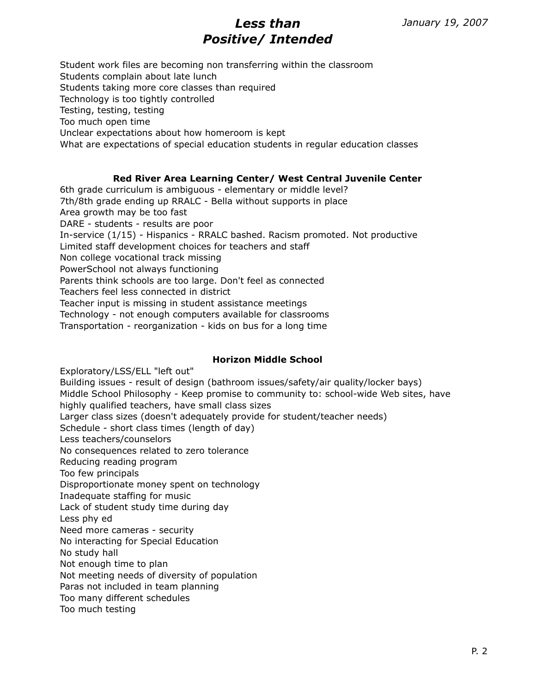Student work files are becoming non transferring within the classroom Students complain about late lunch Students taking more core classes than required Technology is too tightly controlled Testing, testing, testing Too much open time Unclear expectations about how homeroom is kept What are expectations of special education students in regular education classes

## **Red River Area Learning Center/ West Central Juvenile Center**

6th grade curriculum is ambiguous - elementary or middle level? 7th/8th grade ending up RRALC - Bella without supports in place Area growth may be too fast DARE - students - results are poor In-service (1/15) - Hispanics - RRALC bashed. Racism promoted. Not productive Limited staff development choices for teachers and staff Non college vocational track missing PowerSchool not always functioning Parents think schools are too large. Don't feel as connected Teachers feel less connected in district Teacher input is missing in student assistance meetings Technology - not enough computers available for classrooms Transportation - reorganization - kids on bus for a long time

#### **Horizon Middle School**

Exploratory/LSS/ELL "left out" Building issues - result of design (bathroom issues/safety/air quality/locker bays) Middle School Philosophy - Keep promise to community to: school-wide Web sites, have highly qualified teachers, have small class sizes Larger class sizes (doesn't adequately provide for student/teacher needs) Schedule - short class times (length of day) Less teachers/counselors No consequences related to zero tolerance Reducing reading program Too few principals Disproportionate money spent on technology Inadequate staffing for music Lack of student study time during day Less phy ed Need more cameras - security No interacting for Special Education No study hall Not enough time to plan Not meeting needs of diversity of population Paras not included in team planning Too many different schedules Too much testing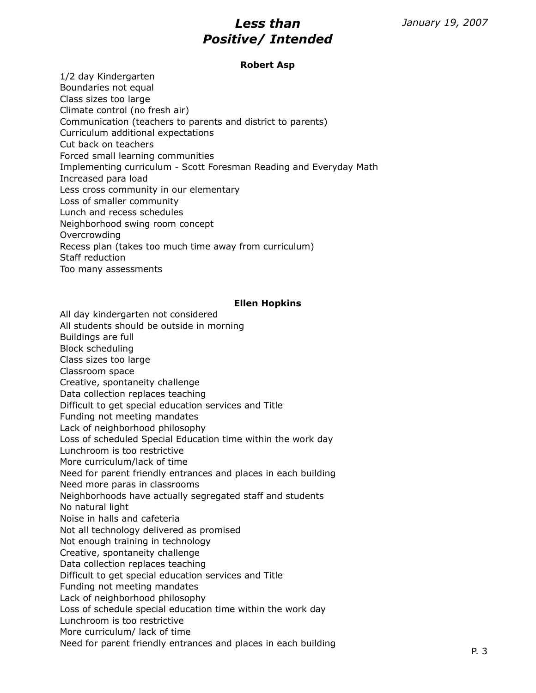#### **Robert Asp**

1/2 day Kindergarten Boundaries not equal Class sizes too large Climate control (no fresh air) Communication (teachers to parents and district to parents) Curriculum additional expectations Cut back on teachers Forced small learning communities Implementing curriculum - Scott Foresman Reading and Everyday Math Increased para load Less cross community in our elementary Loss of smaller community Lunch and recess schedules Neighborhood swing room concept Overcrowding Recess plan (takes too much time away from curriculum) Staff reduction Too many assessments

### **Ellen Hopkins**

All day kindergarten not considered All students should be outside in morning Buildings are full Block scheduling Class sizes too large Classroom space Creative, spontaneity challenge Data collection replaces teaching Difficult to get special education services and Title Funding not meeting mandates Lack of neighborhood philosophy Loss of scheduled Special Education time within the work day Lunchroom is too restrictive More curriculum/lack of time Need for parent friendly entrances and places in each building Need more paras in classrooms Neighborhoods have actually segregated staff and students No natural light Noise in halls and cafeteria Not all technology delivered as promised Not enough training in technology Creative, spontaneity challenge Data collection replaces teaching Difficult to get special education services and Title Funding not meeting mandates Lack of neighborhood philosophy Loss of schedule special education time within the work day Lunchroom is too restrictive More curriculum/ lack of time Need for parent friendly entrances and places in each building<br>P. 3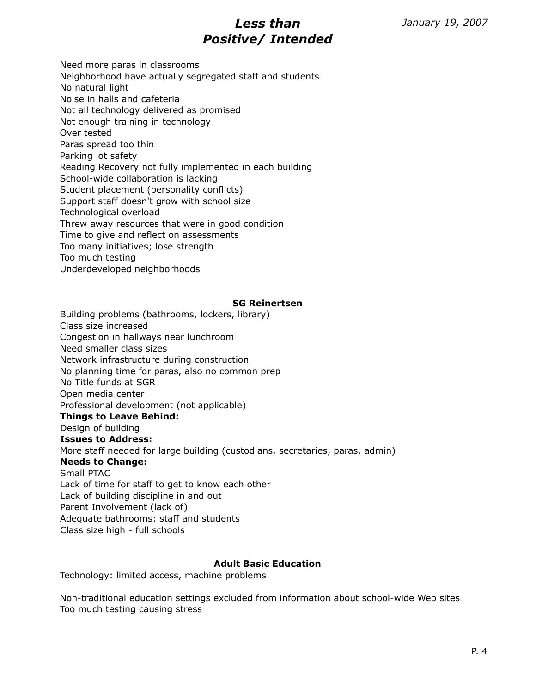Need more paras in classrooms Neighborhood have actually segregated staff and students No natural light Noise in halls and cafeteria Not all technology delivered as promised Not enough training in technology Over tested Paras spread too thin Parking lot safety Reading Recovery not fully implemented in each building School-wide collaboration is lacking Student placement (personality conflicts) Support staff doesn't grow with school size Technological overload Threw away resources that were in good condition Time to give and reflect on assessments Too many initiatives; lose strength Too much testing Underdeveloped neighborhoods

### **SG Reinertsen**

Building problems (bathrooms, lockers, library) Class size increased Congestion in hallways near lunchroom Need smaller class sizes Network infrastructure during construction No planning time for paras, also no common prep No Title funds at SGR Open media center Professional development (not applicable) **Things to Leave Behind:** Design of building **Issues to Address:** More staff needed for large building (custodians, secretaries, paras, admin) **Needs to Change:** Small PTAC Lack of time for staff to get to know each other Lack of building discipline in and out Parent Involvement (lack of) Adequate bathrooms: staff and students Class size high - full schools

## **Adult Basic Education**

Technology: limited access, machine problems

Non-traditional education settings excluded from information about school-wide Web sites Too much testing causing stress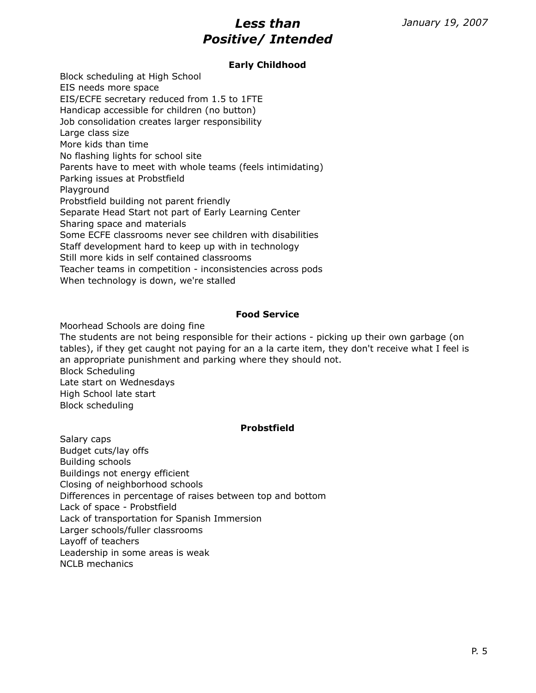## **Early Childhood**

Block scheduling at High School EIS needs more space EIS/ECFE secretary reduced from 1.5 to 1FTE Handicap accessible for children (no button) Job consolidation creates larger responsibility Large class size More kids than time No flashing lights for school site Parents have to meet with whole teams (feels intimidating) Parking issues at Probstfield Playground Probstfield building not parent friendly Separate Head Start not part of Early Learning Center Sharing space and materials Some ECFE classrooms never see children with disabilities Staff development hard to keep up with in technology Still more kids in self contained classrooms Teacher teams in competition - inconsistencies across pods When technology is down, we're stalled

#### **Food Service**

Moorhead Schools are doing fine

The students are not being responsible for their actions - picking up their own garbage (on tables), if they get caught not paying for an a la carte item, they don't receive what I feel is an appropriate punishment and parking where they should not. Block Scheduling Late start on Wednesdays High School late start

Block scheduling

## **Probstfield**

Salary caps Budget cuts/lay offs Building schools Buildings not energy efficient Closing of neighborhood schools Differences in percentage of raises between top and bottom Lack of space - Probstfield Lack of transportation for Spanish Immersion Larger schools/fuller classrooms Layoff of teachers Leadership in some areas is weak NCLB mechanics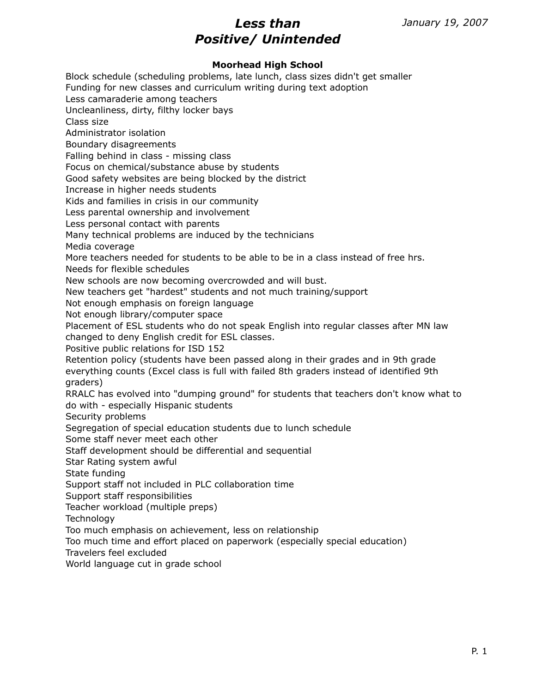## **Moorhead High School**

Block schedule (scheduling problems, late lunch, class sizes didn't get smaller Funding for new classes and curriculum writing during text adoption Less camaraderie among teachers Uncleanliness, dirty, filthy locker bays Class size Administrator isolation Boundary disagreements Falling behind in class - missing class Focus on chemical/substance abuse by students Good safety websites are being blocked by the district Increase in higher needs students Kids and families in crisis in our community Less parental ownership and involvement Less personal contact with parents Many technical problems are induced by the technicians Media coverage More teachers needed for students to be able to be in a class instead of free hrs. Needs for flexible schedules New schools are now becoming overcrowded and will bust. New teachers get "hardest" students and not much training/support Not enough emphasis on foreign language Not enough library/computer space Placement of ESL students who do not speak English into regular classes after MN law changed to deny English credit for ESL classes. Positive public relations for ISD 152 Retention policy (students have been passed along in their grades and in 9th grade everything counts (Excel class is full with failed 8th graders instead of identified 9th graders) RRALC has evolved into "dumping ground" for students that teachers don't know what to do with - especially Hispanic students Security problems Segregation of special education students due to lunch schedule Some staff never meet each other Staff development should be differential and sequential Star Rating system awful State funding Support staff not included in PLC collaboration time Support staff responsibilities Teacher workload (multiple preps) Technology Too much emphasis on achievement, less on relationship Too much time and effort placed on paperwork (especially special education) Travelers feel excluded World language cut in grade school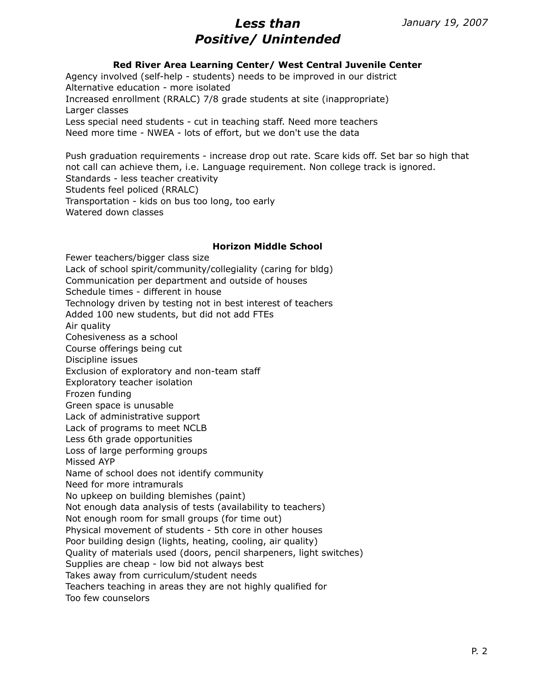### **Red River Area Learning Center/ West Central Juvenile Center**

Agency involved (self-help - students) needs to be improved in our district Alternative education - more isolated Increased enrollment (RRALC) 7/8 grade students at site (inappropriate) Larger classes Less special need students - cut in teaching staff. Need more teachers Need more time - NWEA - lots of effort, but we don't use the data

Push graduation requirements - increase drop out rate. Scare kids off. Set bar so high that not call can achieve them, i.e. Language requirement. Non college track is ignored. Standards - less teacher creativity Students feel policed (RRALC) Transportation - kids on bus too long, too early Watered down classes

#### **Horizon Middle School**

Fewer teachers/bigger class size Lack of school spirit/community/collegiality (caring for bldg) Communication per department and outside of houses Schedule times - different in house Technology driven by testing not in best interest of teachers Added 100 new students, but did not add FTEs Air quality Cohesiveness as a school Course offerings being cut Discipline issues Exclusion of exploratory and non-team staff Exploratory teacher isolation Frozen funding Green space is unusable Lack of administrative support Lack of programs to meet NCLB Less 6th grade opportunities Loss of large performing groups Missed AYP Name of school does not identify community Need for more intramurals No upkeep on building blemishes (paint) Not enough data analysis of tests (availability to teachers) Not enough room for small groups (for time out) Physical movement of students - 5th core in other houses Poor building design (lights, heating, cooling, air quality) Quality of materials used (doors, pencil sharpeners, light switches) Supplies are cheap - low bid not always best Takes away from curriculum/student needs Teachers teaching in areas they are not highly qualified for Too few counselors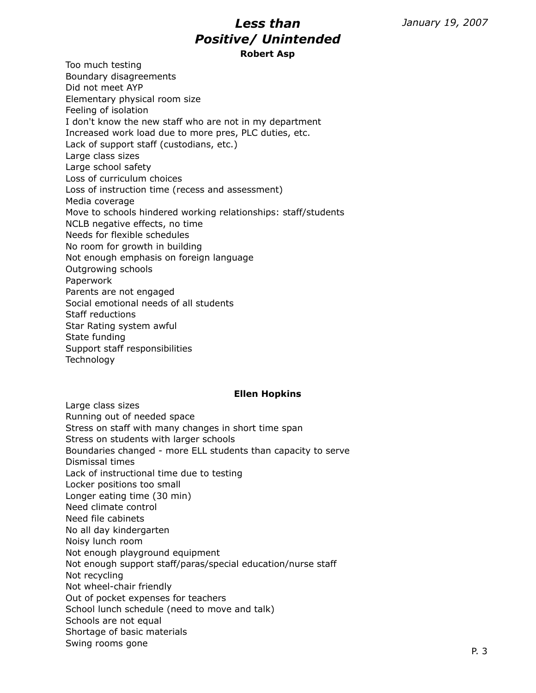# *Less than Positive/ Unintended* **Robert Asp**

Too much testing Boundary disagreements Did not meet AYP Elementary physical room size Feeling of isolation I don't know the new staff who are not in my department Increased work load due to more pres, PLC duties, etc. Lack of support staff (custodians, etc.) Large class sizes Large school safety Loss of curriculum choices Loss of instruction time (recess and assessment) Media coverage Move to schools hindered working relationships: staff/students NCLB negative effects, no time Needs for flexible schedules No room for growth in building Not enough emphasis on foreign language Outgrowing schools Paperwork Parents are not engaged Social emotional needs of all students Staff reductions Star Rating system awful State funding Support staff responsibilities **Technology** 

#### **Ellen Hopkins**

Large class sizes Running out of needed space Stress on staff with many changes in short time span Stress on students with larger schools Boundaries changed - more ELL students than capacity to serve Dismissal times Lack of instructional time due to testing Locker positions too small Longer eating time (30 min) Need climate control Need file cabinets No all day kindergarten Noisy lunch room Not enough playground equipment Not enough support staff/paras/special education/nurse staff Not recycling Not wheel-chair friendly Out of pocket expenses for teachers School lunch schedule (need to move and talk) Schools are not equal Shortage of basic materials Swing rooms gone experience of the extensive product of the extensive product  $P$ . 3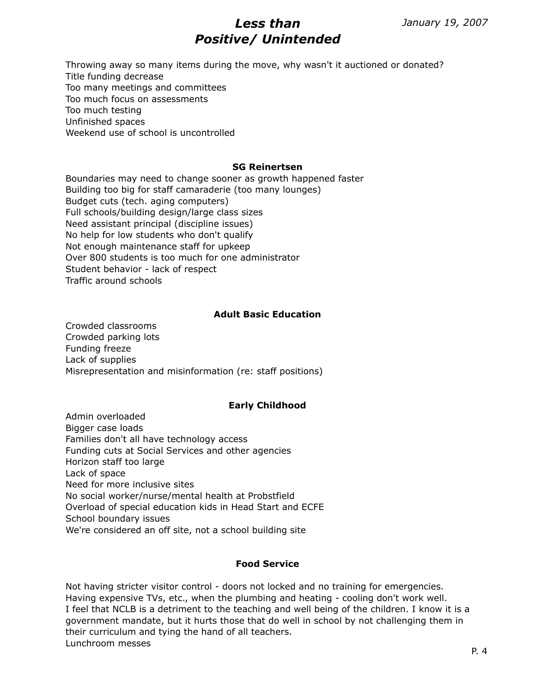Throwing away so many items during the move, why wasn't it auctioned or donated? Title funding decrease Too many meetings and committees Too much focus on assessments Too much testing Unfinished spaces Weekend use of school is uncontrolled

#### **SG Reinertsen**

Boundaries may need to change sooner as growth happened faster Building too big for staff camaraderie (too many lounges) Budget cuts (tech. aging computers) Full schools/building design/large class sizes Need assistant principal (discipline issues) No help for low students who don't qualify Not enough maintenance staff for upkeep Over 800 students is too much for one administrator Student behavior - lack of respect Traffic around schools

### **Adult Basic Education**

Crowded classrooms Crowded parking lots Funding freeze Lack of supplies Misrepresentation and misinformation (re: staff positions)

## **Early Childhood**

Admin overloaded Bigger case loads Families don't all have technology access Funding cuts at Social Services and other agencies Horizon staff too large Lack of space Need for more inclusive sites No social worker/nurse/mental health at Probstfield Overload of special education kids in Head Start and ECFE School boundary issues We're considered an off site, not a school building site

#### **Food Service**

Not having stricter visitor control - doors not locked and no training for emergencies. Having expensive TVs, etc., when the plumbing and heating - cooling don't work well. I feel that NCLB is a detriment to the teaching and well being of the children. I know it is a government mandate, but it hurts those that do well in school by not challenging them in their curriculum and tying the hand of all teachers. Lunchroom messes